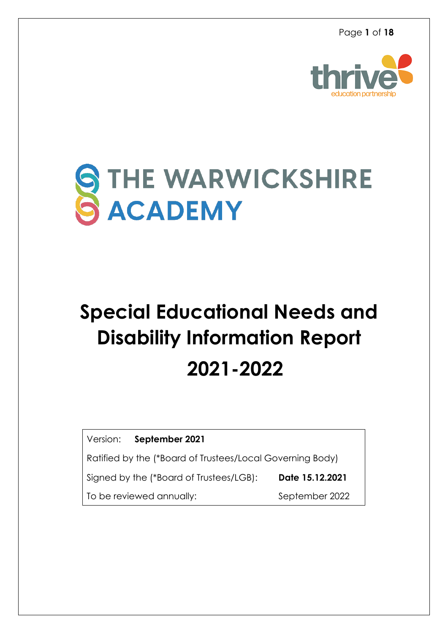

# STHE WARWICKSHIRE

# **Special Educational Needs and Disability Information Report 2021-2022**

Version: **September 2021**

Ratified by the (\*Board of Trustees/Local Governing Body)

Signed by the (\*Board of Trustees/LGB):**Date 15.12.2021**

To be reviewed annually: September 2022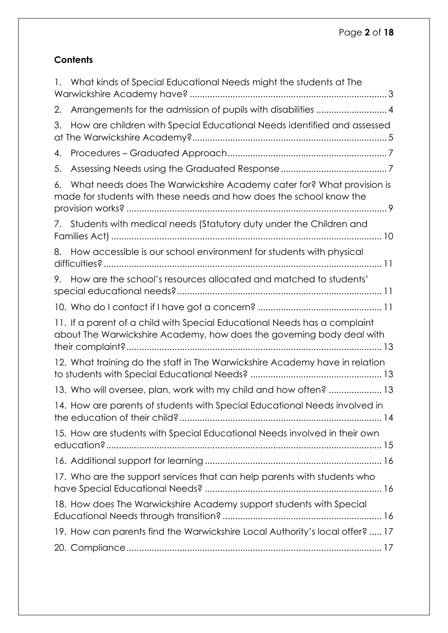# **Contents**

|    | 1. What kinds of Special Educational Needs might the students at The                                                                               |
|----|----------------------------------------------------------------------------------------------------------------------------------------------------|
| 2. | Arrangements for the admission of pupils with disabilities  4                                                                                      |
| 3. | How are children with Special Educational Needs identified and assessed                                                                            |
| 4. |                                                                                                                                                    |
| 5. |                                                                                                                                                    |
| 6. | What needs does The Warwickshire Academy cater for? What provision is<br>made for students with these needs and how does the school know the       |
|    | 7. Students with medical needs (Statutory duty under the Children and                                                                              |
| 8. | How accessible is our school environment for students with physical                                                                                |
| 9. | How are the school's resources allocated and matched to students'                                                                                  |
|    |                                                                                                                                                    |
|    | 11. If a parent of a child with Special Educational Needs has a complaint<br>about The Warwickshire Academy, how does the governing body deal with |
|    | 12. What training do the staff in The Warwickshire Academy have in relation                                                                        |
|    | 13. Who will oversee, plan, work with my child and how often?  13                                                                                  |
|    |                                                                                                                                                    |
|    | 14. How are parents of students with Special Educational Needs involved in                                                                         |
|    | 15. How are students with Special Educational Needs involved in their own                                                                          |
|    |                                                                                                                                                    |
|    | 17. Who are the support services that can help parents with students who                                                                           |
|    | 18. How does The Warwickshire Academy support students with Special                                                                                |
|    | 19. How can parents find the Warwickshire Local Authority's local offer?  17                                                                       |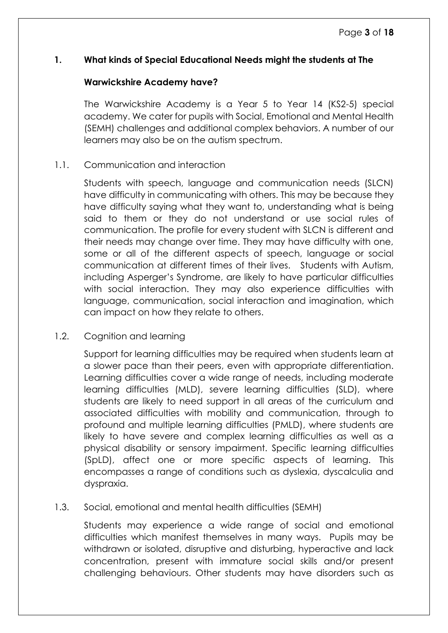# <span id="page-2-0"></span>**1. What kinds of Special Educational Needs might the students at The**

#### **Warwickshire Academy have?**

The Warwickshire Academy is a Year 5 to Year 14 (KS2-5) special academy. We cater for pupils with Social, Emotional and Mental Health (SEMH) challenges and additional complex behaviors. A number of our learners may also be on the autism spectrum.

#### 1.1. Communication and interaction

Students with speech, language and communication needs (SLCN) have difficulty in communicating with others. This may be because they have difficulty saying what they want to, understanding what is being said to them or they do not understand or use social rules of communication. The profile for every student with SLCN is different and their needs may change over time. They may have difficulty with one, some or all of the different aspects of speech, language or social communication at different times of their lives. Students with Autism, including Asperger's Syndrome, are likely to have particular difficulties with social interaction. They may also experience difficulties with language, communication, social interaction and imagination, which can impact on how they relate to others.

# 1.2. Cognition and learning

Support for learning difficulties may be required when students learn at a slower pace than their peers, even with appropriate differentiation. Learning difficulties cover a wide range of needs, including moderate learning difficulties (MLD), severe learning difficulties (SLD), where students are likely to need support in all areas of the curriculum and associated difficulties with mobility and communication, through to profound and multiple learning difficulties (PMLD), where students are likely to have severe and complex learning difficulties as well as a physical disability or sensory impairment. Specific learning difficulties (SpLD), affect one or more specific aspects of learning. This encompasses a range of conditions such as dyslexia, dyscalculia and dyspraxia.

# 1.3. Social, emotional and mental health difficulties (SEMH)

Students may experience a wide range of social and emotional difficulties which manifest themselves in many ways. Pupils may be withdrawn or isolated, disruptive and disturbing, hyperactive and lack concentration, present with immature social skills and/or present challenging behaviours. Other students may have disorders such as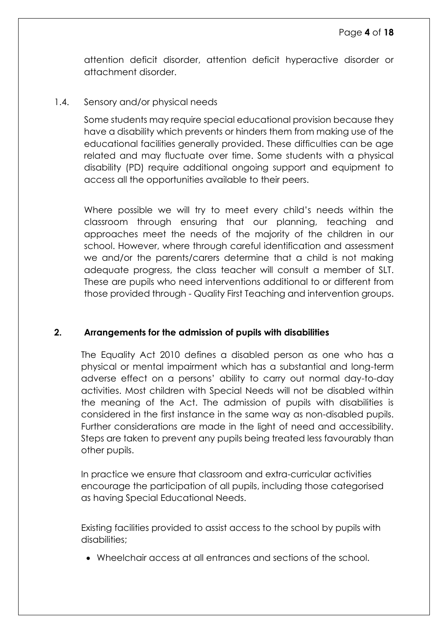attention deficit disorder, attention deficit hyperactive disorder or attachment disorder.

#### 1.4. Sensory and/or physical needs

Some students may require special educational provision because they have a disability which prevents or hinders them from making use of the educational facilities generally provided. These difficulties can be age related and may fluctuate over time. Some students with a physical disability (PD) require additional ongoing support and equipment to access all the opportunities available to their peers.

Where possible we will try to meet every child's needs within the classroom through ensuring that our planning, teaching and approaches meet the needs of the majority of the children in our school. However, where through careful identification and assessment we and/or the parents/carers determine that a child is not making adequate progress, the class teacher will consult a member of SLT. These are pupils who need interventions additional to or different from those provided through - Quality First Teaching and intervention groups.

# <span id="page-3-0"></span>**2. Arrangements for the admission of pupils with disabilities**

The Equality Act 2010 defines a disabled person as one who has a physical or mental impairment which has a substantial and long-term adverse effect on a persons' ability to carry out normal day-to-day activities. Most children with Special Needs will not be disabled within the meaning of the Act. The admission of pupils with disabilities is considered in the first instance in the same way as non-disabled pupils. Further considerations are made in the light of need and accessibility. Steps are taken to prevent any pupils being treated less favourably than other pupils.

In practice we ensure that classroom and extra-curricular activities encourage the participation of all pupils, including those categorised as having Special Educational Needs.

Existing facilities provided to assist access to the school by pupils with disabilities;

• Wheelchair access at all entrances and sections of the school.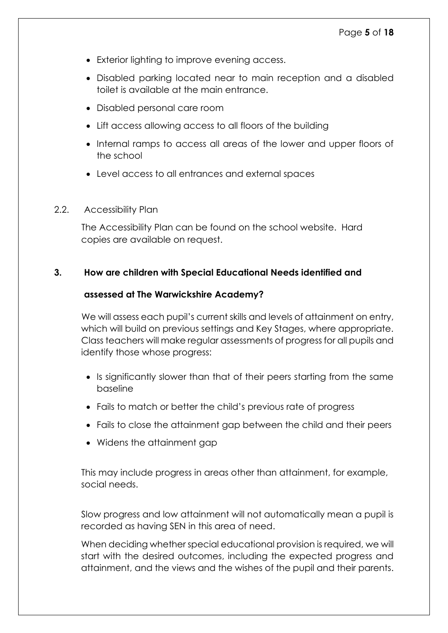- Exterior lighting to improve evening access.
- Disabled parking located near to main reception and a disabled toilet is available at the main entrance.
- Disabled personal care room
- Lift access allowing access to all floors of the building
- Internal ramps to access all areas of the lower and upper floors of the school
- Level access to all entrances and external spaces
- 2.2. Accessibility Plan

The Accessibility Plan can be found on the school website. Hard copies are available on request.

# <span id="page-4-0"></span>**3. How are children with Special Educational Needs identified and**

#### **assessed at The Warwickshire Academy?**

We will assess each pupil's current skills and levels of attainment on entry, which will build on previous settings and Key Stages, where appropriate. Class teachers will make regular assessments of progress for all pupils and identify those whose progress:

- Is significantly slower than that of their peers starting from the same baseline
- Fails to match or better the child's previous rate of progress
- Fails to close the attainment gap between the child and their peers
- Widens the attainment gap

This may include progress in areas other than attainment, for example, social needs.

Slow progress and low attainment will not automatically mean a pupil is recorded as having SEN in this area of need.

When deciding whether special educational provision is required, we will start with the desired outcomes, including the expected progress and attainment, and the views and the wishes of the pupil and their parents.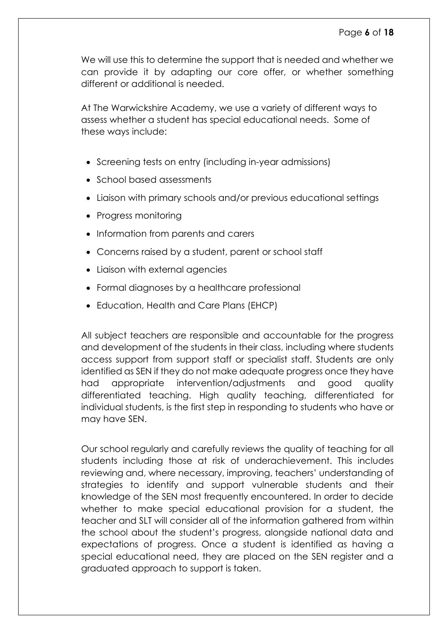We will use this to determine the support that is needed and whether we can provide it by adapting our core offer, or whether something different or additional is needed.

At The Warwickshire Academy, we use a variety of different ways to assess whether a student has special educational needs. Some of these ways include:

- Screening tests on entry (including in-year admissions)
- School based assessments
- Liaison with primary schools and/or previous educational settings
- Progress monitoring
- Information from parents and carers
- Concerns raised by a student, parent or school staff
- Liaison with external agencies
- Formal diagnoses by a healthcare professional
- Education, Health and Care Plans (EHCP)

All subject teachers are responsible and accountable for the progress and development of the students in their class, including where students access support from support staff or specialist staff. Students are only identified as SEN if they do not make adequate progress once they have had appropriate intervention/adjustments and good quality differentiated teaching. High quality teaching, differentiated for individual students, is the first step in responding to students who have or may have SEN.

Our school regularly and carefully reviews the quality of teaching for all students including those at risk of underachievement. This includes reviewing and, where necessary, improving, teachers' understanding of strategies to identify and support vulnerable students and their knowledge of the SEN most frequently encountered. In order to decide whether to make special educational provision for a student, the teacher and SLT will consider all of the information gathered from within the school about the student's progress, alongside national data and expectations of progress. Once a student is identified as having a special educational need, they are placed on the SEN register and a graduated approach to support is taken.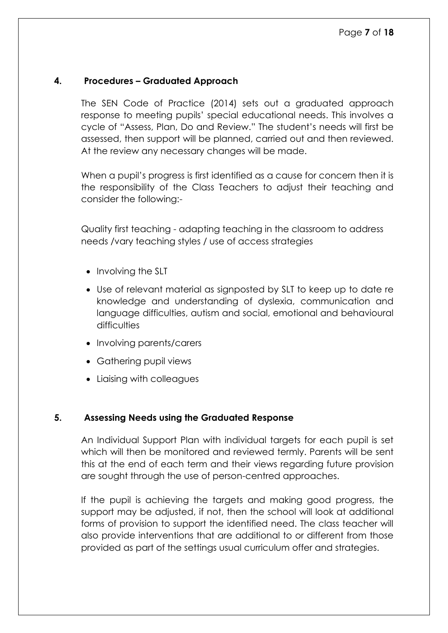#### <span id="page-6-0"></span>**4. Procedures – Graduated Approach**

The SEN Code of Practice (2014) sets out a graduated approach response to meeting pupils' special educational needs. This involves a cycle of "Assess, Plan, Do and Review." The student's needs will first be assessed, then support will be planned, carried out and then reviewed. At the review any necessary changes will be made.

When a pupil's progress is first identified as a cause for concern then it is the responsibility of the Class Teachers to adjust their teaching and consider the following:-

Quality first teaching - adapting teaching in the classroom to address needs /vary teaching styles / use of access strategies

- Involving the SLT
- Use of relevant material as signposted by SLT to keep up to date re knowledge and understanding of dyslexia, communication and language difficulties, autism and social, emotional and behavioural difficulties
- Involving parents/carers
- Gathering pupil views
- Liaising with colleagues

#### <span id="page-6-1"></span>**5. Assessing Needs using the Graduated Response**

An Individual Support Plan with individual targets for each pupil is set which will then be monitored and reviewed termly. Parents will be sent this at the end of each term and their views regarding future provision are sought through the use of person-centred approaches.

If the pupil is achieving the targets and making good progress, the support may be adjusted, if not, then the school will look at additional forms of provision to support the identified need. The class teacher will also provide interventions that are additional to or different from those provided as part of the settings usual curriculum offer and strategies.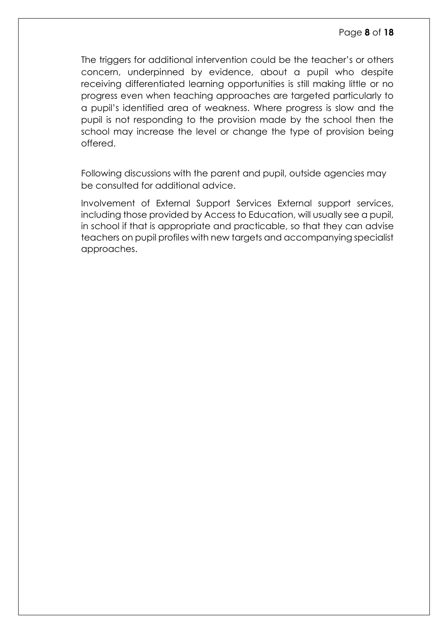The triggers for additional intervention could be the teacher's or others concern, underpinned by evidence, about a pupil who despite receiving differentiated learning opportunities is still making little or no progress even when teaching approaches are targeted particularly to a pupil's identified area of weakness. Where progress is slow and the pupil is not responding to the provision made by the school then the school may increase the level or change the type of provision being offered.

Following discussions with the parent and pupil, outside agencies may be consulted for additional advice.

Involvement of External Support Services External support services, including those provided by Access to Education, will usually see a pupil, in school if that is appropriate and practicable, so that they can advise teachers on pupil profiles with new targets and accompanying specialist approaches.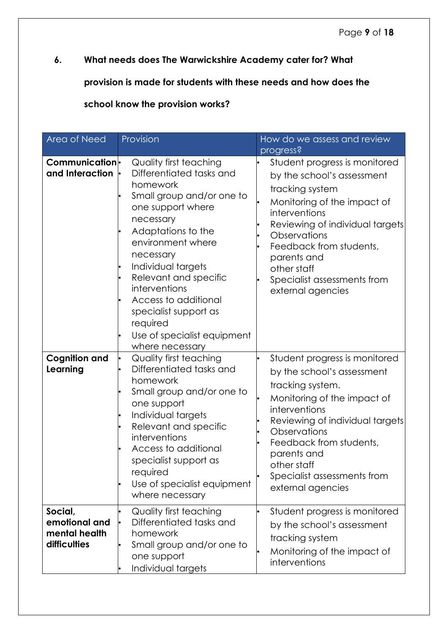# <span id="page-8-0"></span>**6. What needs does The Warwickshire Academy cater for? What**

**provision is made for students with these needs and how does the** 

**school know the provision works?** 

| Area of Need                                              | Provision                                                                                                                                                                                                                                                                                                                                                            | How do we assess and review<br>progress?                                                                                                                                                                                                                                                        |  |
|-----------------------------------------------------------|----------------------------------------------------------------------------------------------------------------------------------------------------------------------------------------------------------------------------------------------------------------------------------------------------------------------------------------------------------------------|-------------------------------------------------------------------------------------------------------------------------------------------------------------------------------------------------------------------------------------------------------------------------------------------------|--|
| Communication <sup>l</sup><br>and Interaction             | Quality first teaching<br>Differentiated tasks and<br>homework<br>Small group and/or one to<br>one support where<br>necessary<br>Adaptations to the<br>environment where<br>necessary<br>Individual targets<br>Relevant and specific<br>interventions<br>Access to additional<br>specialist support as<br>required<br>Use of specialist equipment<br>where necessary | Student progress is monitored<br>by the school's assessment<br>tracking system<br>Monitoring of the impact of<br>interventions<br>Reviewing of individual targets<br>Observations<br>Feedback from students,<br>parents and<br>other staff<br>Specialist assessments from<br>external agencies  |  |
| <b>Cognition and</b><br>Learning                          | <b>Quality first teaching</b><br>$\bullet$<br>Differentiated tasks and<br>homework<br>Small group and/or one to<br>one support<br>Individual targets<br>Relevant and specific<br>interventions<br>Access to additional<br>specialist support as<br>required<br>Use of specialist equipment<br>where necessary                                                        | Student progress is monitored<br>by the school's assessment<br>tracking system.<br>Monitoring of the impact of<br>interventions<br>Reviewing of individual targets<br>Observations<br>Feedback from students,<br>parents and<br>other staff<br>Specialist assessments from<br>external agencies |  |
| Social,<br>emotional and<br>mental health<br>difficulties | <b>Quality first teaching</b><br>Differentiated tasks and<br>homework<br>Small group and/or one to<br>one support<br>Individual targets                                                                                                                                                                                                                              | Student progress is monitored<br>by the school's assessment<br>tracking system<br>Monitoring of the impact of<br>interventions                                                                                                                                                                  |  |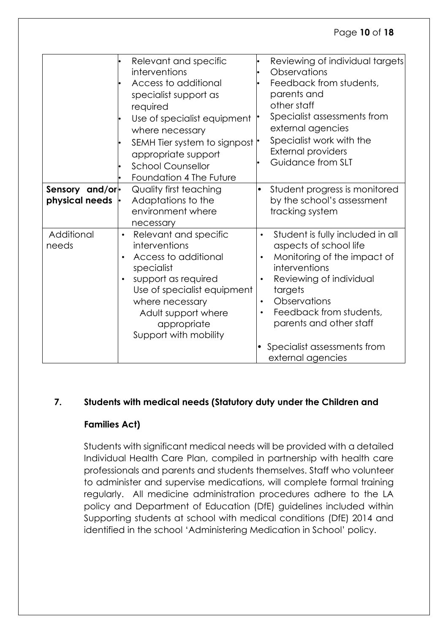# Page **10** of **18**

|                                           | Relevant and specific<br>interventions<br>Access to additional<br>specialist support as<br>required<br>Use of specialist equipment<br>where necessary<br>SEMH Tier system to signpost<br>appropriate support<br><b>School Counsellor</b><br>Foundation 4 The Future | Reviewing of individual targets<br>Observations<br>Feedback from students,<br>parents and<br>other staff<br>Specialist assessments from<br>external agencies<br>Specialist work with the<br><b>External providers</b><br>Guidance from SLT                                                                        |
|-------------------------------------------|---------------------------------------------------------------------------------------------------------------------------------------------------------------------------------------------------------------------------------------------------------------------|-------------------------------------------------------------------------------------------------------------------------------------------------------------------------------------------------------------------------------------------------------------------------------------------------------------------|
| Sensory and/or-<br>physical needs $\cdot$ | <b>Quality first teaching</b><br>Adaptations to the<br>environment where<br>necessary                                                                                                                                                                               | Student progress is monitored<br>$\bullet$<br>by the school's assessment<br>tracking system                                                                                                                                                                                                                       |
| Additional<br>needs                       | Relevant and specific<br>$\bullet$<br>interventions<br>Access to additional<br>$\bullet$<br>specialist<br>support as required<br>$\bullet$<br>Use of specialist equipment<br>where necessary<br>Adult support where<br>appropriate<br>Support with mobility         | Student is fully included in all<br>$\bullet$<br>aspects of school life<br>Monitoring of the impact of<br>$\bullet$<br>interventions<br>Reviewing of individual<br>targets<br>Observations<br>$\bullet$<br>Feedback from students,<br>parents and other staff<br>Specialist assessments from<br>external agencies |

# <span id="page-9-0"></span>**7. Students with medical needs (Statutory duty under the Children and**

# **Families Act)**

Students with significant medical needs will be provided with a detailed Individual Health Care Plan, compiled in partnership with health care professionals and parents and students themselves. Staff who volunteer to administer and supervise medications, will complete formal training regularly. All medicine administration procedures adhere to the LA policy and Department of Education (DfE) guidelines included within Supporting students at school with medical conditions (DfE) 2014 and identified in the school 'Administering Medication in School' policy.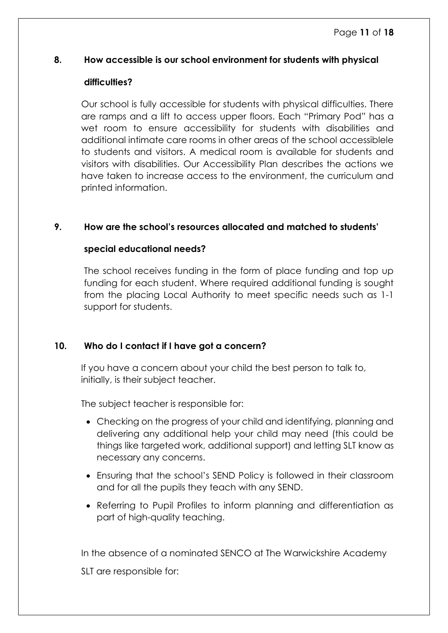#### <span id="page-10-0"></span>**8. How accessible is our school environment for students with physical**

#### **difficulties?**

Our school is fully accessible for students with physical difficulties. There are ramps and a lift to access upper floors. Each "Primary Pod" has a wet room to ensure accessibility for students with disabilities and additional intimate care rooms in other areas of the school accessiblele to students and visitors. A medical room is available for students and visitors with disabilities. Our Accessibility Plan describes the actions we have taken to increase access to the environment, the curriculum and printed information.

# <span id="page-10-1"></span>**9. How are the school's resources allocated and matched to students'**

# **special educational needs?**

The school receives funding in the form of place funding and top up funding for each student. Where required additional funding is sought from the placing Local Authority to meet specific needs such as 1-1 support for students.

# <span id="page-10-2"></span>**10. Who do I contact if I have got a concern?**

If you have a concern about your child the best person to talk to, initially, is their subject teacher.

The subject teacher is responsible for:

- Checking on the progress of your child and identifying, planning and delivering any additional help your child may need (this could be things like targeted work, additional support) and letting SLT know as necessary any concerns.
- Ensuring that the school's SEND Policy is followed in their classroom and for all the pupils they teach with any SEND.
- Referring to Pupil Profiles to inform planning and differentiation as part of high-quality teaching.

In the absence of a nominated SENCO at The Warwickshire Academy SLT are responsible for: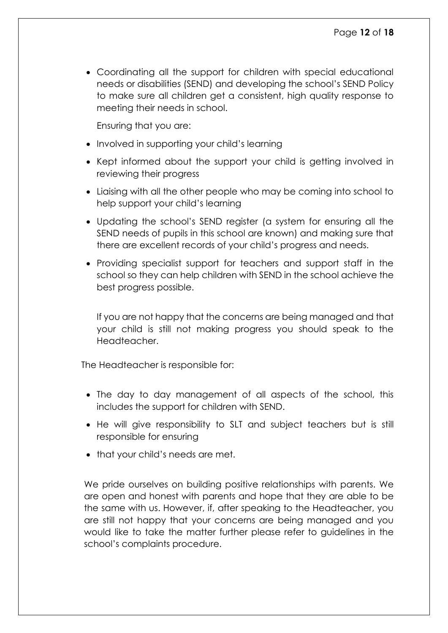• Coordinating all the support for children with special educational needs or disabilities (SEND) and developing the school's SEND Policy to make sure all children get a consistent, high quality response to meeting their needs in school.

Ensuring that you are:

- Involved in supporting your child's learning
- Kept informed about the support your child is getting involved in reviewing their progress
- Liaising with all the other people who may be coming into school to help support your child's learning
- Updating the school's SEND register (a system for ensuring all the SEND needs of pupils in this school are known) and making sure that there are excellent records of your child's progress and needs.
- Providing specialist support for teachers and support staff in the school so they can help children with SEND in the school achieve the best progress possible.

If you are not happy that the concerns are being managed and that your child is still not making progress you should speak to the Headteacher.

The Headteacher is responsible for:

- The day to day management of all aspects of the school, this includes the support for children with SEND.
- He will give responsibility to SLT and subject teachers but is still responsible for ensuring
- that your child's needs are met.

We pride ourselves on building positive relationships with parents. We are open and honest with parents and hope that they are able to be the same with us. However, if, after speaking to the Headteacher, you are still not happy that your concerns are being managed and you would like to take the matter further please refer to guidelines in the school's complaints procedure.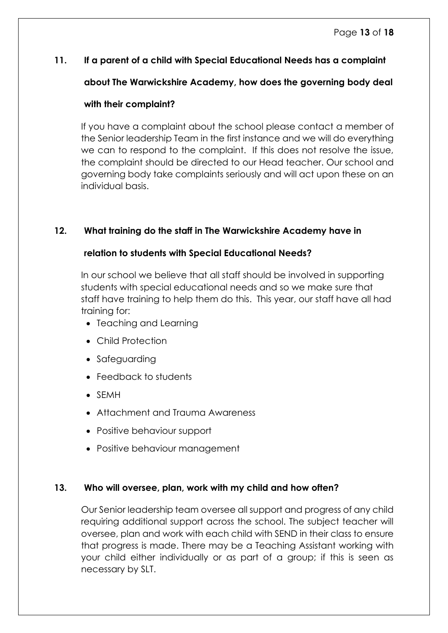# <span id="page-12-0"></span>**11. If a parent of a child with Special Educational Needs has a complaint**

# **about The Warwickshire Academy, how does the governing body deal**

# **with their complaint?**

If you have a complaint about the school please contact a member of the Senior leadership Team in the first instance and we will do everything we can to respond to the complaint. If this does not resolve the issue, the complaint should be directed to our Head teacher. Our school and governing body take complaints seriously and will act upon these on an individual basis.

# <span id="page-12-1"></span>**12. What training do the staff in The Warwickshire Academy have in**

# **relation to students with Special Educational Needs?**

In our school we believe that all staff should be involved in supporting students with special educational needs and so we make sure that staff have training to help them do this. This year, our staff have all had training for:

- Teaching and Learning
- Child Protection
- Safeguarding
- Feedback to students
- SEMH
- Attachment and Trauma Awareness
- Positive behaviour support
- Positive behaviour management

# <span id="page-12-2"></span>**13. Who will oversee, plan, work with my child and how often?**

Our Senior leadership team oversee all support and progress of any child requiring additional support across the school. The subject teacher will oversee, plan and work with each child with SEND in their class to ensure that progress is made. There may be a Teaching Assistant working with your child either individually or as part of a group; if this is seen as necessary by SLT.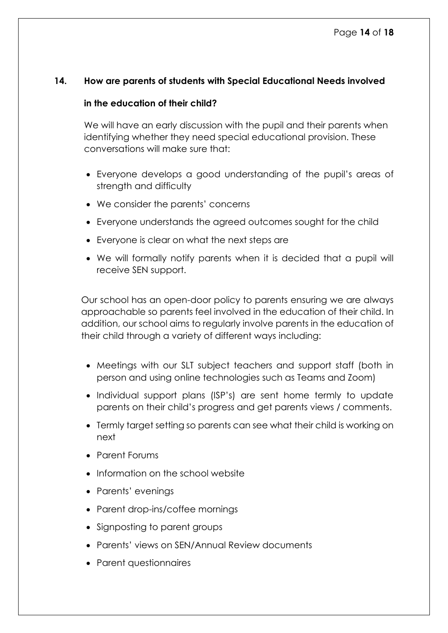#### <span id="page-13-0"></span>**14. How are parents of students with Special Educational Needs involved**

#### **in the education of their child?**

We will have an early discussion with the pupil and their parents when identifying whether they need special educational provision. These conversations will make sure that:

- Everyone develops a good understanding of the pupil's areas of strength and difficulty
- We consider the parents' concerns
- Everyone understands the agreed outcomes sought for the child
- Everyone is clear on what the next steps are
- We will formally notify parents when it is decided that a pupil will receive SEN support.

Our school has an open-door policy to parents ensuring we are always approachable so parents feel involved in the education of their child. In addition, our school aims to regularly involve parents in the education of their child through a variety of different ways including:

- Meetings with our SLT subject teachers and support staff (both in person and using online technologies such as Teams and Zoom)
- Individual support plans (ISP's) are sent home termly to update parents on their child's progress and get parents views / comments.
- Termly target setting so parents can see what their child is working on next
- Parent Forums
- Information on the school website
- Parents' evenings
- Parent drop-ins/coffee mornings
- Signposting to parent groups
- Parents' views on SEN/Annual Review documents
- Parent questionnaires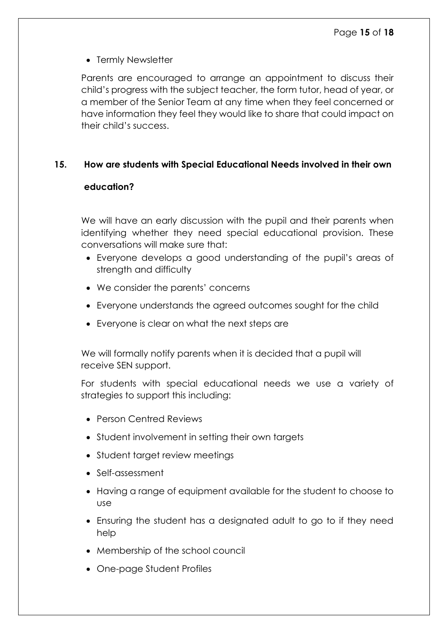• Termly Newsletter

Parents are encouraged to arrange an appointment to discuss their child's progress with the subject teacher, the form tutor, head of year, or a member of the Senior Team at any time when they feel concerned or have information they feel they would like to share that could impact on their child's success.

# <span id="page-14-0"></span>**15. How are students with Special Educational Needs involved in their own**

# **education?**

We will have an early discussion with the pupil and their parents when identifying whether they need special educational provision. These conversations will make sure that:

- Everyone develops a good understanding of the pupil's areas of strength and difficulty
- We consider the parents' concerns
- Everyone understands the agreed outcomes sought for the child
- Everyone is clear on what the next steps are

We will formally notify parents when it is decided that a pupil will receive SEN support.

For students with special educational needs we use a variety of strategies to support this including:

- Person Centred Reviews
- Student involvement in setting their own targets
- Student target review meetings
- Self-assessment
- Having a range of equipment available for the student to choose to use
- Ensuring the student has a designated adult to go to if they need help
- Membership of the school council
- One-page Student Profiles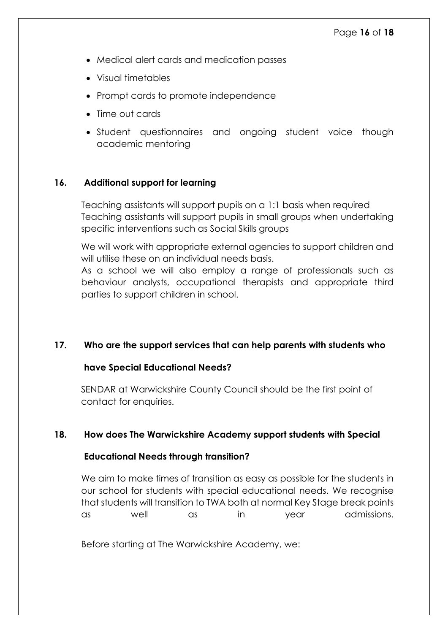- Medical alert cards and medication passes
- Visual timetables
- Prompt cards to promote independence
- Time out cards
- Student questionnaires and ongoing student voice though academic mentoring

# <span id="page-15-0"></span>**16. Additional support for learning**

Teaching assistants will support pupils on a 1:1 basis when required Teaching assistants will support pupils in small groups when undertaking specific interventions such as Social Skills groups

We will work with appropriate external agencies to support children and will utilise these on an individual needs basis.

As a school we will also employ a range of professionals such as behaviour analysts, occupational therapists and appropriate third parties to support children in school.

# <span id="page-15-1"></span>**17. Who are the support services that can help parents with students who**

# **have Special Educational Needs?**

SENDAR at Warwickshire County Council should be the first point of contact for enquiries.

# <span id="page-15-2"></span>**18. How does The Warwickshire Academy support students with Special**

# **Educational Needs through transition?**

We aim to make times of transition as easy as possible for the students in our school for students with special educational needs. We recognise that students will transition to TWA both at normal Key Stage break points as well as in year admissions.

Before starting at The Warwickshire Academy, we: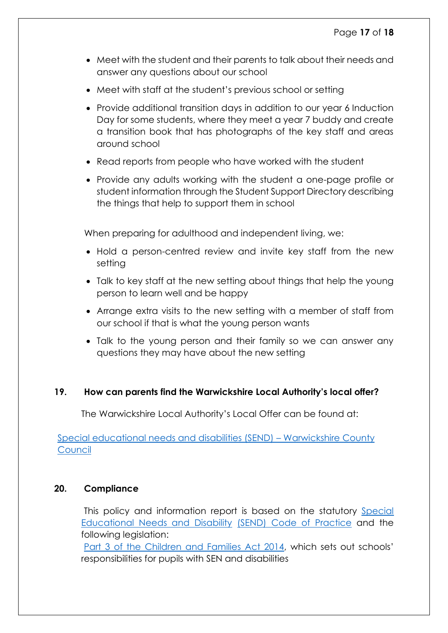- Meet with the student and their parents to talk about their needs and answer any questions about our school
- Meet with staff at the student's previous school or setting
- Provide additional transition days in addition to our year 6 Induction Day for some students, where they meet a year 7 buddy and create a transition book that has photographs of the key staff and areas around school
- Read reports from people who have worked with the student
- Provide any adults working with the student a one-page profile or student information through the Student Support Directory describing the things that help to support them in school

When preparing for adulthood and independent living, we:

- Hold a person-centred review and invite key staff from the new setting
- Talk to key staff at the new setting about things that help the young person to learn well and be happy
- Arrange extra visits to the new setting with a member of staff from our school if that is what the young person wants
- Talk to the young person and their family so we can answer any questions they may have about the new setting

# <span id="page-16-0"></span>**19. How can parents find the Warwickshire Local Authority's local offer?**

The Warwickshire Local Authority's Local Offer can be found at:

[Special educational needs and disabilities \(SEND\)](https://www.warwickshire.gov.uk/send#:~:text=Warwickshire%E2%80%99s%20SEND%20local%20offer%20brings%20together%20information%20about,disabilities.%20If%20you%20think%20your%20child%20has%20SEND) – Warwickshire County **[Council](https://www.warwickshire.gov.uk/send#:~:text=Warwickshire%E2%80%99s%20SEND%20local%20offer%20brings%20together%20information%20about,disabilities.%20If%20you%20think%20your%20child%20has%20SEND)** 

# <span id="page-16-1"></span>**20. Compliance**

This policy and information report is based on the statutory [Special](https://www.gov.uk/government/uploads/system/uploads/attachment_data/file/398815/SEND_Code_of_Practice_January_2015.pdf)  [Educational Needs and Disability](https://www.gov.uk/government/uploads/system/uploads/attachment_data/file/398815/SEND_Code_of_Practice_January_2015.pdf) [\(SEND\) Code of Practice](https://www.gov.uk/government/uploads/system/uploads/attachment_data/file/398815/SEND_Code_of_Practice_January_2015.pdf) and the following legislation:

[Part 3 of the Children and Families Act 2014,](http://www.legislation.gov.uk/ukpga/2014/6/part/3) which sets out schools' responsibilities for pupils with SEN and disabilities